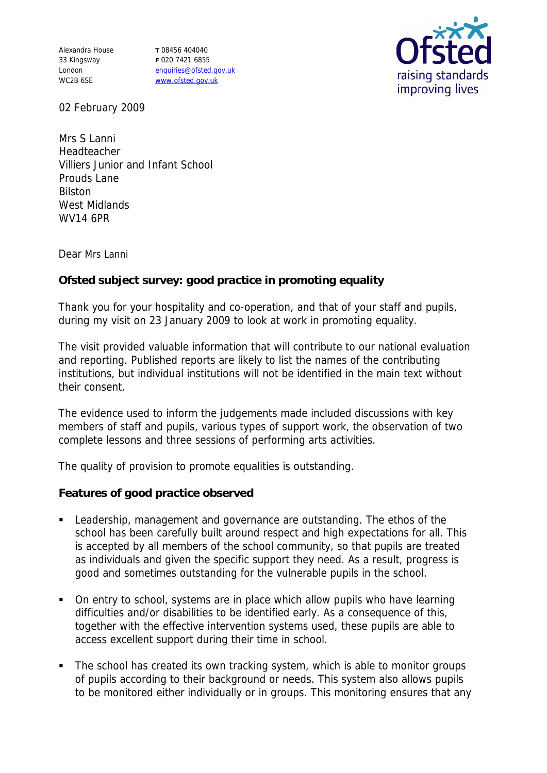Alexandra House 33 Kingsway London WC2B 6SE

**T** 08456 404040 **F** 020 7421 6855 enquiries@ofsted.gov.uk www.ofsted.gov.uk



02 February 2009

Mrs S Lanni Headteacher Villiers Junior and Infant School Prouds Lane Bilston West Midlands WV14 6PR

Dear Mrs Lanni

**Ofsted subject survey: good practice in promoting equality** 

Thank you for your hospitality and co-operation, and that of your staff and pupils, during my visit on 23 January 2009 to look at work in promoting equality.

The visit provided valuable information that will contribute to our national evaluation and reporting. Published reports are likely to list the names of the contributing institutions, but individual institutions will not be identified in the main text without their consent.

The evidence used to inform the judgements made included discussions with key members of staff and pupils, various types of support work, the observation of two complete lessons and three sessions of performing arts activities.

The quality of provision to promote equalities is outstanding.

**Features of good practice observed**

- Leadership, management and governance are outstanding. The ethos of the school has been carefully built around respect and high expectations for all. This is accepted by all members of the school community, so that pupils are treated as individuals and given the specific support they need. As a result, progress is good and sometimes outstanding for the vulnerable pupils in the school.
- On entry to school, systems are in place which allow pupils who have learning difficulties and/or disabilities to be identified early. As a consequence of this, together with the effective intervention systems used, these pupils are able to access excellent support during their time in school.
- The school has created its own tracking system, which is able to monitor groups of pupils according to their background or needs. This system also allows pupils to be monitored either individually or in groups. This monitoring ensures that any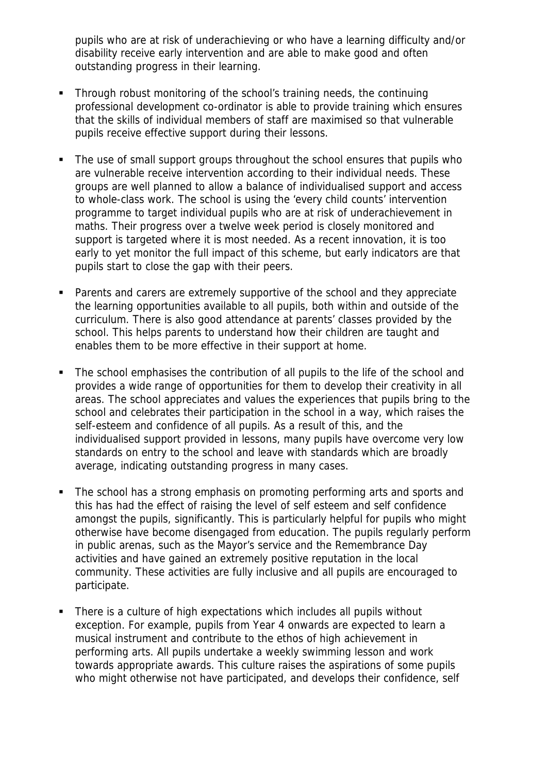pupils who are at risk of underachieving or who have a learning difficulty and/or disability receive early intervention and are able to make good and often outstanding progress in their learning.

- Through robust monitoring of the school's training needs, the continuing professional development co-ordinator is able to provide training which ensures that the skills of individual members of staff are maximised so that vulnerable pupils receive effective support during their lessons.
- The use of small support groups throughout the school ensures that pupils who are vulnerable receive intervention according to their individual needs. These groups are well planned to allow a balance of individualised support and access to whole-class work. The school is using the 'every child counts' intervention programme to target individual pupils who are at risk of underachievement in maths. Their progress over a twelve week period is closely monitored and support is targeted where it is most needed. As a recent innovation, it is too early to yet monitor the full impact of this scheme, but early indicators are that pupils start to close the gap with their peers.
- Parents and carers are extremely supportive of the school and they appreciate the learning opportunities available to all pupils, both within and outside of the curriculum. There is also good attendance at parents' classes provided by the school. This helps parents to understand how their children are taught and enables them to be more effective in their support at home.
- The school emphasises the contribution of all pupils to the life of the school and provides a wide range of opportunities for them to develop their creativity in all areas. The school appreciates and values the experiences that pupils bring to the school and celebrates their participation in the school in a way, which raises the self-esteem and confidence of all pupils. As a result of this, and the individualised support provided in lessons, many pupils have overcome very low standards on entry to the school and leave with standards which are broadly average, indicating outstanding progress in many cases.
- The school has a strong emphasis on promoting performing arts and sports and this has had the effect of raising the level of self esteem and self confidence amongst the pupils, significantly. This is particularly helpful for pupils who might otherwise have become disengaged from education. The pupils regularly perform in public arenas, such as the Mayor's service and the Remembrance Day activities and have gained an extremely positive reputation in the local community. These activities are fully inclusive and all pupils are encouraged to participate.
- There is a culture of high expectations which includes all pupils without exception. For example, pupils from Year 4 onwards are expected to learn a musical instrument and contribute to the ethos of high achievement in performing arts. All pupils undertake a weekly swimming lesson and work towards appropriate awards. This culture raises the aspirations of some pupils who might otherwise not have participated, and develops their confidence, self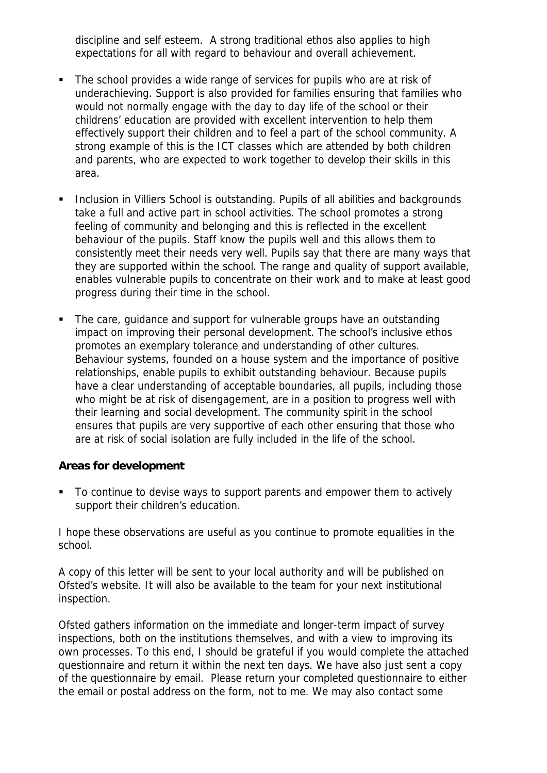discipline and self esteem. A strong traditional ethos also applies to high expectations for all with regard to behaviour and overall achievement.

- The school provides a wide range of services for pupils who are at risk of underachieving. Support is also provided for families ensuring that families who would not normally engage with the day to day life of the school or their childrens' education are provided with excellent intervention to help them effectively support their children and to feel a part of the school community. A strong example of this is the ICT classes which are attended by both children and parents, who are expected to work together to develop their skills in this area.
- **Inclusion in Villiers School is outstanding. Pupils of all abilities and backgrounds** take a full and active part in school activities. The school promotes a strong feeling of community and belonging and this is reflected in the excellent behaviour of the pupils. Staff know the pupils well and this allows them to consistently meet their needs very well. Pupils say that there are many ways that they are supported within the school. The range and quality of support available, enables vulnerable pupils to concentrate on their work and to make at least good progress during their time in the school.
- The care, guidance and support for vulnerable groups have an outstanding impact on improving their personal development. The school's inclusive ethos promotes an exemplary tolerance and understanding of other cultures. Behaviour systems, founded on a house system and the importance of positive relationships, enable pupils to exhibit outstanding behaviour. Because pupils have a clear understanding of acceptable boundaries, all pupils, including those who might be at risk of disengagement, are in a position to progress well with their learning and social development. The community spirit in the school ensures that pupils are very supportive of each other ensuring that those who are at risk of social isolation are fully included in the life of the school.

**Areas for development**

To continue to devise ways to support parents and empower them to actively support their children's education.

I hope these observations are useful as you continue to promote equalities in the school.

A copy of this letter will be sent to your local authority and will be published on Ofsted's website. It will also be available to the team for your next institutional inspection.

Ofsted gathers information on the immediate and longer-term impact of survey inspections, both on the institutions themselves, and with a view to improving its own processes. To this end, I should be grateful if you would complete the attached questionnaire and return it within the next ten days. We have also just sent a copy of the questionnaire by email. Please return your completed questionnaire to either the email or postal address on the form, not to me. We may also contact some